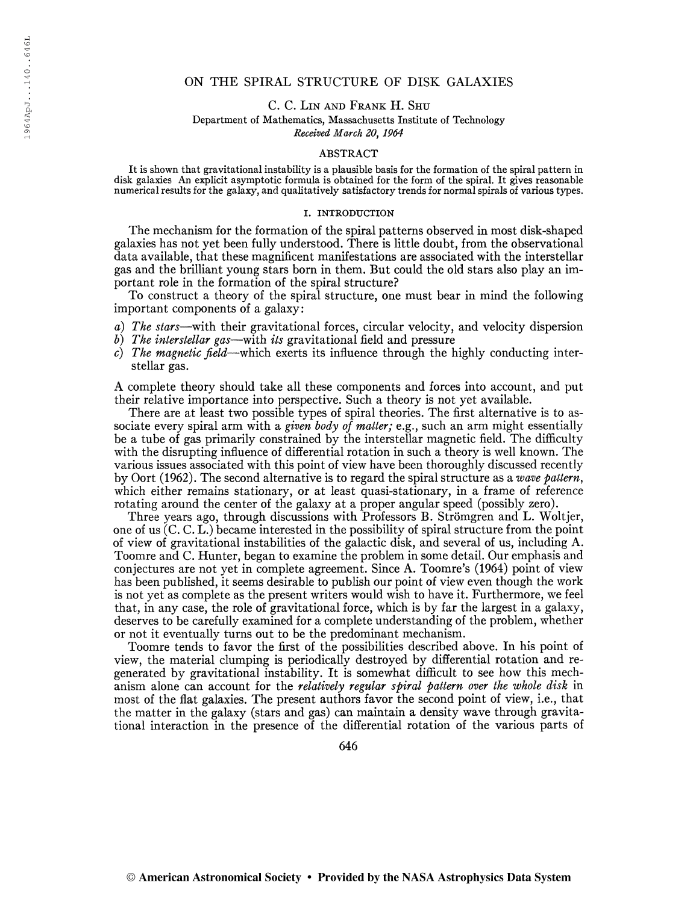# ON THE SPIRAL STRUCTURE OF DISK GALAXIES

C. C. Lin and Frank H. Shu

Department of Mathematics, Massachusetts Institute of Technology

Received March 20, 1964

## ABSTRACT

It is shown that gravitational instability is a plausible basis for the formation of the spiral pattern in disk galaxies An explicit asymptotic formula is obtained for the form of the spiral. It gives reasonable numerical results for the galaxy, and qualitatively satisfactory trends for normal spirals of various types.

### I. INTRODUCTION

The mechanism for the formation of the spiral patterns observed in most disk-shaped galaxies has not yet been fully understood. There is little doubt, from the observational data available, that these magnificent manifestations are associated with the interstellar gas and the brilliant young stars born in them. But could the old stars also play an important role in the formation of the spiral structure?

To construct a theory of the spiral structure, one must bear in mind the following important components of a galaxy:

- a) The stars—with their gravitational forces, circular velocity, and velocity dispersion
- b) The interstellar gas—with its gravitational field and pressure
- c) The magnetic field—which exerts its influence through the highly conducting interstellar gas.

A complete theory should take all these components and forces into account, and put their relative importance into perspective. Such a theory is not yet available.

There are at least two possible types of spiral theories. The first alternative is to associate every spiral arm with a given body of matter; e.g., such an arm might essentially be a tube of gas primarily constrained by the interstellar magnetic field. The difficulty with the disrupting influence of differential rotation in such a theory is well known. The various issues associated with this point of view have been thoroughly discussed recently by Oort (1962). The second alternative is to regard the spiral structure as a wave pattern, which either remains stationary, or at least quasi-stationary, in a frame of reference rotating around the center of the galaxy at a proper angular speed (possibly zero).

Three years ago, through discussions with Professors B. Strömgren and L. Woltjer, one of us (C. C. L.) became interested in the possibility of spiral structure from the point of view of gravitational instabilities of the galactic disk, and several of us, including A. Toomre and C. Hunter, began to examine the problem in some detail. Our emphasis and conjectures are not yet in complete agreement. Since A. Toomre's (1964) point of view has been published, it seems desirable to publish our point of view even though the work is not yet as complete as the present writers would wish to have it. Furthermore, we feel that, in any case, the role of gravitational force, which is by far the largest in a galaxy, deserves to be carefully examined for a complete understanding of the problem, whether or not it eventually turns out to be the predominant mechanism.

Toomre tends to favor the first of the possibilities described above. In his point of view, the material clumping is periodically destroyed by differential rotation and regenerated by gravitational instability. It is somewhat difficult to see how this mechanism alone can account for the relatively regular spiral pattern over the whole disk in most of the flat galaxies. The present authors favor the second point of view, i.e., that the matter in the galaxy (stars and gas) can maintain a density wave through gravitational interaction in the presence of the differential rotation of the various parts of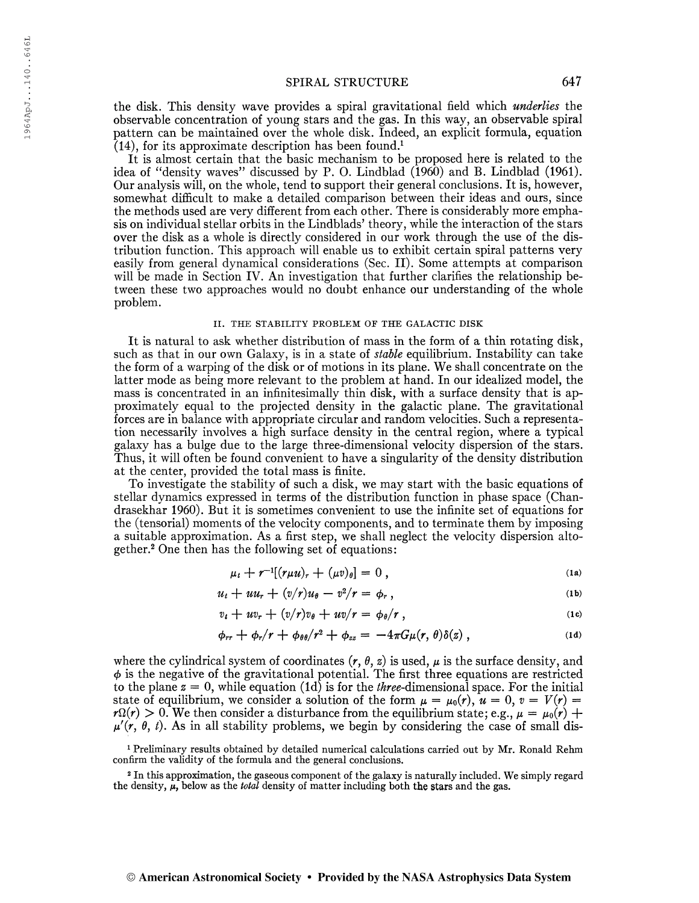the disk. This density wave provides a spiral gravitational field which underlies the observable concentration of young stars and the gas. In this way, an observable spiral pattern can be maintained over the whole disk. Indeed, an explicit formula, equation  $(14)$ , for its approximate description has been found.<sup>1</sup>

It is almost certain that the basic mechanism to be proposed here is related to the idea of "density waves" discussed by P. O. Lindblad (1960) and B. Lindblad (1961). Our analysis will, on the whole, tend to support their general conclusions. It is, however, somewhat difficult to make a detailed comparison between their ideas and ours, since the methods used are very different from each other. There is considerably more emphasis on individual stellar orbits in the Lindhlads' theory, while the interaction of the stars over the disk as a whole is directly considered in our work through the use of the distribution function. This approach will enable us to exhibit certain spiral patterns very easily from general dynamical considerations (Sec. II). Some attempts at comparison will be made in Section IV. An investigation that further clarifies the relationship between these two approaches would no doubt enhance our understanding of the whole problem.

#### II. THE STABILITY PROBLEM OF THE GALACTIC DISK

It is natural to ask whether distribution of mass in the form of a thin rotating disk, such as that in our own Galaxy, is in a state of *stable* equilibrium. Instability can take the form of a warping of the disk or of motions in its plane. We shall concentrate on the latter mode as being more relevant to the problem at hand. In our idealized model, the mass is concentrated in an infinitesimally thin disk, with a surface density that is approximately equal to the projected density in the galactic plane. The gravitational forces are in balance with appropriate circular and random velocities. Such a representation necessarily involves a high surface density in the central region, where a typical galaxy has a bulge due to the large three-dimensional velocity dispersion of the stars. Thus, it will often be found convenient to have a singularity of the density distribution at the center, provided the total mass is finite.

To investigate the stability of such a disk, we may start with the basic equations of stellar dynamics expressed in terms of the distribution function in phase space (Chandrasekhar 1960). But it is sometimes convenient to use the infinite set of equations for the (tensorial) moments of the velocity components, and to terminate them by imposing a suitable approximation. As a first step, we shall neglect the velocity dispersion altogether.<sup>2</sup> One then has the following set of equations:

$$
\mu_t + r^{-1}[(r\mu u)_r + (\mu v)_\theta] = 0 , \qquad (1a)
$$

$$
u_t + u u_r + (v/r)u_\theta - v^2/r = \phi_r, \qquad (1b)
$$

$$
v_t + uv_r + (v/r)v_\theta + uv/r = \phi_\theta/r, \qquad (1c)
$$

$$
\phi_{rr} + \phi_r/r + \phi_{\theta\theta}/r^2 + \phi_{zz} = -4\pi G\mu(r,\theta)\delta(z), \qquad (1d)
$$

where the cylindrical system of coordinates  $(r, \theta, z)$  is used,  $\mu$  is the surface density, and  $\phi$  is the negative of the gravitational potential. The first three equations are restricted to the plane  $z = 0$ , while equation (1d) is for the *three*-dimensional space. For the initial state of equilibrium, we consider a solution of the form  $\mu = \mu_0(r)$ ,  $u = 0$ ,  $v = V(r) =$  $r\Omega(r) > 0$ . We then consider a disturbance from the equilibrium state; e.g.,  $\mu = \mu_0(r) +$  $\mu'(r, \theta, t)$ . As in all stability problems, we begin by considering the case of small dis-

<sup>1</sup> Preliminary results obtained by detailed numerical calculations carried out by Mr. Ronald Rehm confirm the validity of the formula and the general conclusions.

<sup>2</sup> In this approximation, the gaseous component of the galaxy is naturally included. We simply regard the density,  $\mu$ , below as the *total* density of matter including both the stars and the gas.

#### © American Astronomical Society • Provided by the NASA Astrophysics Data System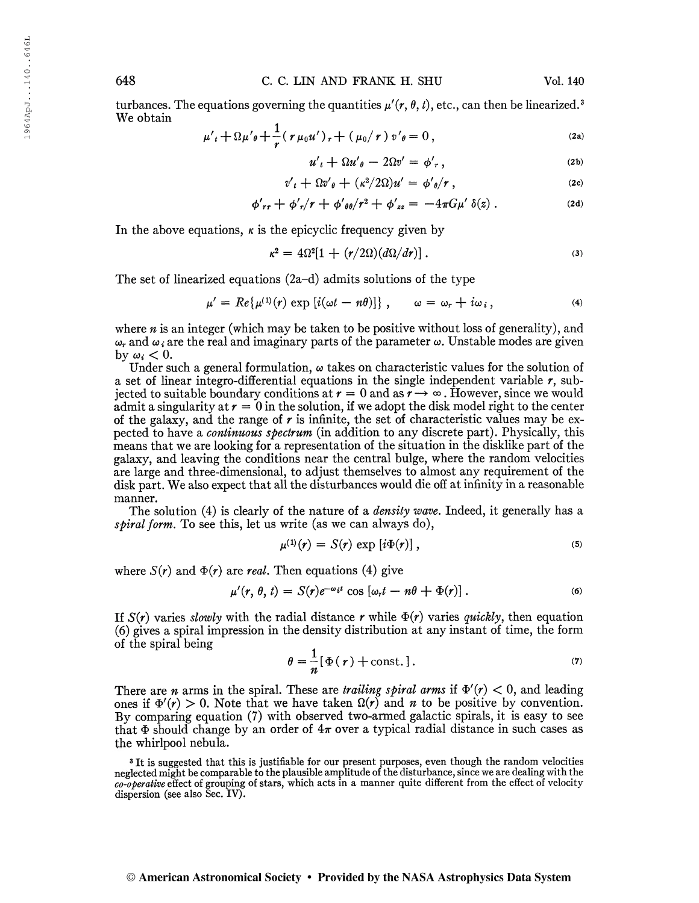turbances. The equations governing the quantities  $\mu'(\mathbf{r}, \theta, t)$ , etc., can then be linearized.<sup>3</sup> We obtain

$$
\mu'_{t} + \Omega \mu'_{\theta} + \frac{1}{r} (\tau \mu_{0} u')_{r} + (\mu_{0} / r) v'_{\theta} = 0,
$$
 (2a)

$$
u'_{t} + \Omega u'_{\theta} - 2\Omega v' = \phi'_{r}, \qquad (2b)
$$

$$
v'_{t} + \Omega v'_{\theta} + (\kappa^{2}/2\Omega)u' = \phi'_{\theta}/r, \qquad (2c)
$$

$$
\phi'_{rr} + \phi'_{r}/r + \phi'_{\theta\theta}/r^2 + \phi'_{zz} = -4\pi G\mu'\,\delta(z) \,. \tag{2d}
$$

In the above equations,  $\kappa$  is the epicyclic frequency given by

$$
\kappa^2 = 4\Omega^2[1 + (r/2\Omega)(d\Omega/dr)]. \tag{3}
$$

The set of linearized equations (2a-d) admits solutions of the type

$$
\mu' = Re\{\mu^{(1)}(r) \exp[i(\omega t - n\theta)]\}, \qquad \omega = \omega_r + i\omega_i, \qquad (4)
$$

where  $n$  is an integer (which may be taken to be positive without loss of generality), and  $\omega_r$  and  $\omega_i$  are the real and imaginary parts of the parameter  $\omega$ . Unstable modes are given by  $\omega_i < 0$ .

Under such a general formulation,  $\omega$  takes on characteristic values for the solution of a set of linear integro-differential equations in the single independent variable  $r$ , subjected to suitable boundary conditions at  $r = 0$  and as  $r \to \infty$ . However, since we would admit a singularity at  $r = 0$  in the solution, if we adopt the disk model right to the center of the galaxy, and the range of  $r$  is infinite, the set of characteristic values may be expected to have a *continuous spectrum* (in addition to any discrete part). Physically, this means that we are looking for a representation of the situation in the disklike part of the galaxy, and leaving the conditions near the central bulge, where the random velocities are large and three-dimensional, to adjust themselves to almost any requirement of the disk part. We also expect that all the disturbances would die off atinfinity in a reasonable manner.

The solution (4) is clearly of the nature of a *density wave*. Indeed, it generally has a spiral form. To see this, let us write (as we can always  $do$ ),

$$
\mu^{(1)}(r) = S(r) \exp \left[i\Phi(r)\right], \tag{5}
$$

where  $S(r)$  and  $\Phi(r)$  are real. Then equations (4) give

$$
\mu'(r, \theta, t) = S(r)e^{-\omega_i t} \cos [\omega_r t - n\theta + \Phi(r)]. \qquad (6)
$$

If  $S(r)$  varies slowly with the radial distance r while  $\Phi(r)$  varies quickly, then equation (6) gives a spiral impression in the density distribution at any instant of time, the form of the spiral being

$$
\theta = \frac{1}{n} [\Phi(r) + \text{const.}]. \tag{7}
$$

There are *n* arms in the spiral. These are *trailing spiral arms* if  $\Phi'(r) < 0$ , and leading ones if  $\Phi'(r) > 0$ . Note that we have taken  $\Omega(r)$  and n to be positive by convention. By comparing equation (7) with observed two-armed galactic spirals, it is easy to see that  $\Phi$  should change by an order of  $4\pi$  over a typical radial distance in such cases as the whirlpool nebula.

<sup>&</sup>lt;sup>3</sup> It is suggested that this is justifiable for our present purposes, even though the random velocities neglected might be comparable to the plausible amplitude of the disturbance, since we are dealing with the  $co$ -operative effect of grouping of stars, which acts in a manner quite different from the effect of velocity dispersion (see also Sec. IV).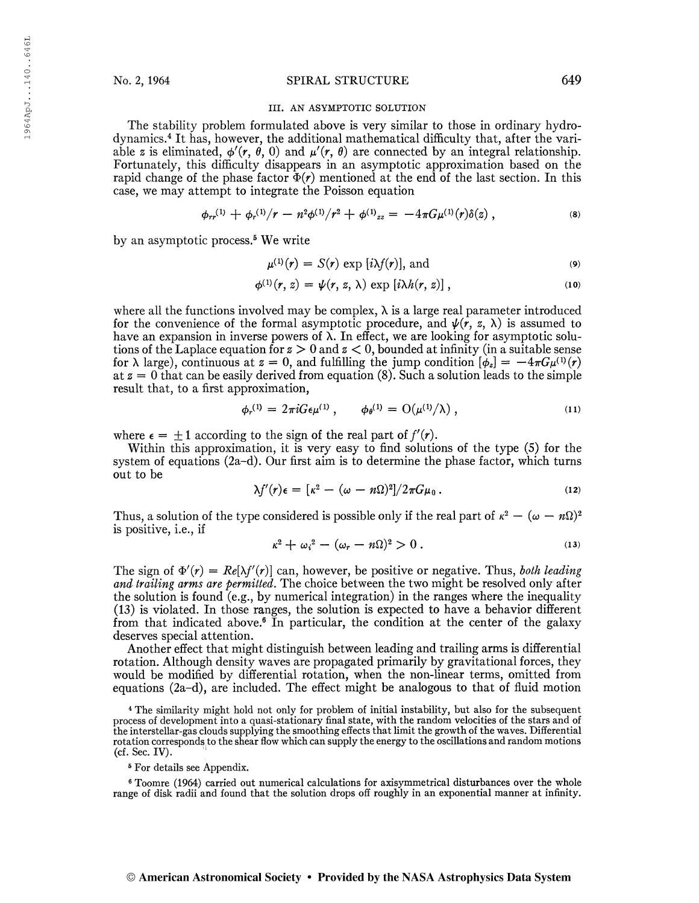### No. 2, 1964 SPIRAL STRUCTURE 649

#### III. AN ASYMPTOTIC SOLUTION

The stability problem formulated above is very similar to those in ordinary hydrodynamics.<sup>4</sup> It has, however, the additional mathematical difficulty that, after the variable z is eliminated,  $\phi'(r, \theta, 0)$  and  $\mu'(r, \theta)$  are connected by an integral relationship. Fortunately, this difficulty disappears in an asymptotic approximation based on the rapid change of the phase factor  $\Phi(r)$  mentioned at the end of the last section. In this case, we may attempt to integrate the Poisson equation

$$
\phi_{rr}^{(1)} + \phi_r^{(1)}/r - n^2 \phi^{(1)}/r^2 + \phi^{(1)}_{zz} = -4\pi G \mu^{(1)}(r) \delta(z) , \qquad (8)
$$

by an asymptotic process.<sup>5</sup> We write

$$
\mu^{(1)}(r) = S(r) \exp[i\lambda f(r)], \text{ and}
$$
 (9)

$$
\phi^{(1)}(r, z) = \psi(r, z, \lambda) \exp[i\lambda h(r, z)], \qquad (10)
$$

where all the functions involved may be complex,  $\lambda$  is a large real parameter introduced for the convenience of the formal asymptotic procedure, and  $\psi(r, z, \lambda)$  is assumed to have an expansion in inverse powers of  $\lambda$ . In effect, we are looking for asymptotic solutions of the Laplace equation for  $z > 0$  and  $z < 0$ , bounded at infinity (in a suitable sense for  $\lambda$  large), continuous at  $z = 0$ , and fulfilling the jump condition  $[\phi_z] = -4\pi G\mu^{(1)}(r)$ at  $z = 0$  that can be easily derived from equation (8). Such a solution leads to the simple result that, to a first approximation,

$$
\phi_r^{(1)} = 2\pi i G \epsilon \mu^{(1)} \,, \qquad \phi_\theta^{(1)} = O(\mu^{(1)}/\lambda) \,, \tag{11}
$$

where  $\epsilon = \pm 1$  according to the sign of the real part of  $f'(r)$ .

Within this approximation, it is very easy to find solutions of the type (5) for the system of equations  $(2a-d)$ . Our first aim is to determine the phase factor, which turns out to be

$$
\lambda f'(r)\epsilon = \left[\kappa^2 - (\omega - n\Omega)^2\right]/2\pi G\mu_0.
$$
 (12)

Thus, a solution of the type considered is possible only if the real part of  $\kappa^2 - (\omega - n\Omega)^2$ is positive, i.e., if

$$
\kappa^2 + \omega_i^2 - (\omega_r - n\Omega)^2 > 0.
$$
 (13)

The sign of  $\Phi'(r) = Re[\lambda f'(r)]$  can, however, be positive or negative. Thus, both leading and trailing arms are permitted. The choice between the two might be resolved only after the solution is found (e.g., by numerical integration) in the ranges where the inequality (13) is violated. In those ranges, the solution is expected to have a behavior different from that indicated above.<sup>6</sup> In particular, the condition at the center of the galaxy deserves special attention.

Another effect that might distinguish between leading and trailing arms is differential rotation. Although density waves are propagated primarily by gravitational forces, they would be modified by differential rotation, when the non-linear terms, omitted from equations (2a-d), are included. The effect might be analogous to that of fluid motion

<sup>4</sup> The similarity might hold not only for problem of initial instability, but also for the subsequent process of development into a quasi-stationary final state, with the random velocities of the stars and of the interstellar-gas clouds supplying the smoothing effects that limit the growth of the waves. Differential rotation corresponds to the shear flow which can supply the energy to the oscillations and random motions (cf. Sec. IV).

<sup>5</sup> For details see Appendix.

<sup>6</sup> Toomre (1964) carried out numerical calculations for axisymmetrical disturbances over the whole range of disk radii and found that the solution drops off roughly in an exponential manner at infinity.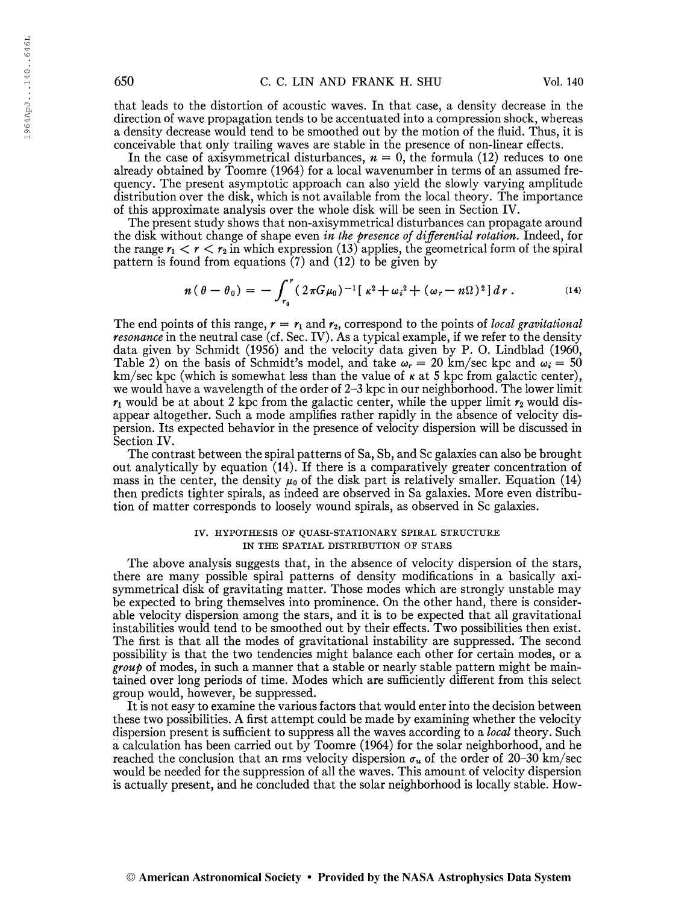that leads to the distortion of acoustic waves. In that case, a density decrease in the direction of wave propagation tends to be accentuated into a compression shock, whereas a density decrease would tend to be smoothed out by the motion of the fluid. Thus, it is conceivable that only trailing waves are stable in the presence of non-linear effects.

In the case of axisymmetrical disturbances,  $n = 0$ , the formula (12) reduces to one already obtained by Toomre (1964) for a local wavenumber in terms of an assumed frequency. The present asymptotic approach can also yield the slowly varying amplitude distribution over the disk, which is not available from the local theory. The importance of this approximate analysis over the whole disk will be seen in Section IV.

The present study shows that non-axisymmetrical disturbances can propagate around the disk without change of shape even in the presence of differential rotation. Indeed, for the range  $r_1 < r < r_2$  in which expression (13) applies, the geometrical form of the spiral pattern is found from equations (7) and (12) to be given by<br>  $n(\theta - \theta_0) = -\int_{r_0}^r (2\pi G\mu_0)^{-1} [ \kappa^2 + \omega_i^2 + (\omega_r - n\Omega)^2 ] dr$ . (14)

pattern is found from equations (7) and (12) to be given by  
\n
$$
n(\theta - \theta_0) = -\int_{r_0}^r (2\pi G\mu_0)^{-1} [k^2 + \omega_i^2 + (\omega_r - n\Omega)^2] dr.
$$
\n(14)

The end points of this range,  $r = r_1$  and  $r_2$ , correspond to the points of local gravitational resonance in the neutral case (cf. Sec. IV). As a typical example, if we refer to the density data given by Schmidt (1956) and the velocity data given by P. 0. Lindblad (1960, Table 2) on the basis of Schmidt's model, and take  $\omega_r = 20$  km/sec kpc and  $\omega_i = 50$ km/sec kpc (which is somewhat less than the value of  $\kappa$  at 5 kpc from galactic center), we would have a wavelength of the order of 2-3 kpc in our neighborhood. The lower limit  $r_1$  would be at about 2 kpc from the galactic center, while the upper limit  $r_2$  would disappear altogether. Such a mode amplifies rather rapidly in the absence of velocity dispersion. Its expected behavior in the presence of velocity dispersion will be discussed in Section IV.

The contrast between the spiral patterns of Sa, Sb, and Sc galaxies can also be brought out analytically by equation (14). If there is a comparatively greater concentration of mass in the center, the density  $\mu_0$  of the disk part is relatively smaller. Equation (14) then predicts tighter spirals, as indeed are observed in Sa galaxies. More even distribution of matter corresponds to loosely wound spirals, as observed in Sc galaxies.

### IV. HYPOTHESIS OF QUASI-STATIONARY SPIRAL STRUCTURE IN THE SPATIAL DISTRIBUTION OF STARS

The above analysis suggests that, in the absence of velocity dispersion of the stars, there are many possible spiral patterns of density modifications in a basically axisymmetrical disk of gravitating matter. Those modes which are strongly unstable may be expected to bring themselves into prominence. On the other hand, there is considerable velocity dispersion among the stars, and it is to be expected that all gravitational instabilities would tend to be smoothed out by their effects. Two possibilities then exist. The first is that all the modes of gravitational instability are suppressed. The second possibility is that the two tendencies might balance each other for certain modes, or a  $\beta$  group of modes, in such a manner that a stable or nearly stable pattern might be maintained over long periods of time. Modes which are sufficiently different from this select group would, however, be suppressed.

Itis not easy to examine the various factors that would enter into the decision between these two possibilities. A first attempt could be made by examining whether the velocity dispersion present is sufficient to suppress all the waves according to a *local* theory. Such a calculation has been carried out by Toomre (1964) for the solar neighborhood, and he reached the conclusion that an rms velocity dispersion  $\sigma_u$  of the order of 20-30 km/sec would be needed for the suppression of all the waves. This amount of velocity dispersion is actually present, and he concluded that the solar neighborhood is locally stable. How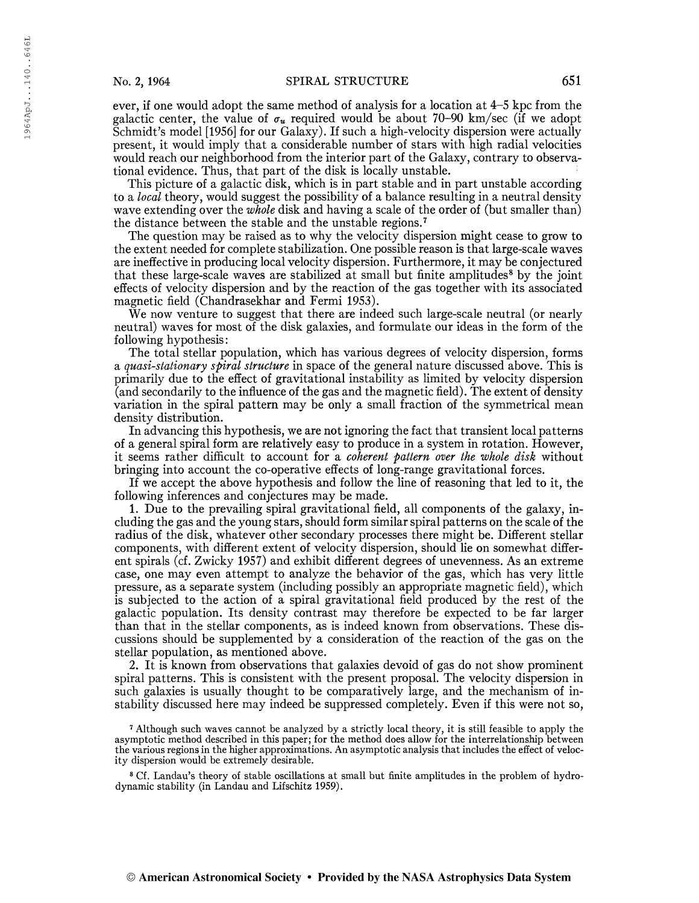19 64ApJ. . .140. .646L

1964ApJ...140..646L

ever, if one would adopt the same method of analysis for a location at 4-5 kpc from the galactic center, the value of  $\sigma_u$  required would be about 70-90 km/sec (if we adopt Schmidt's model [1956] for our Galaxy). If such a high-velocity dispersion were actually present, it would imply that a considerable number of stars with high radial velocities would reach our neighborhood from the interior part of the Galaxy, contrary to observational evidence. Thus, that part of the disk is locally unstable.

This picture of a galactic disk, which is in part stable and in part unstable according to a *local* theory, would suggest the possibility of a balance resulting in a neutral density wave extending over the whole disk and having a scale of the order of (but smaller than) the distance between the stable and the unstable regions.<sup>7</sup>

The question may be raised as to why the velocity dispersion might cease to grow to the extent needed for complete stabilization. One possible reason is that large-scale waves are ineffective in producing local velocity dispersion. Furthermore, it may be conjectured that these large-scale waves are stabilized at small but finite amplitudes<sup>8</sup> by the joint effects of velocity dispersion and by the reaction of the gas together with its associated magnetic field (Chandrasekhar and Fermi 1953).

We now venture to suggest that there are indeed such large-scale neutral (or nearly neutral) waves for most of the disk galaxies, and formulate our ideas in the form of the following hypothesis:

The total stellar population, which has various degrees of velocity dispersion, forms a quasi-stationary spiral structure in space of the general nature discussed above. This is primarily due to the effect of gravitational instability as limited by velocity dispersion (and secondarily to the influence of the gas and the magnetic field). The extent of density variation in the spiral pattern may be only a small fraction of the symmetrical mean density distribution.

In advancing this hypothesis, we are not ignoring the fact that transient local patterns of a general spiral form are relatively easy to produce in a system in rotation. However, it seems rather difficult to account for a coherent pattern over the whole disk without bringing into account the co-operative effects of long-range gravitational forces.

If we accept the above hypothesis and follow the line of reasoning that led to it, the following inferences and conjectures may be made.

1. Due to the prevailing spiral gravitational field, all components of the galaxy, including the gas and the young stars, should form similarspiral patterns on the scale of the radius of the disk, whatever other secondary processes there might be. Different stellar components, with different extent of velocity dispersion, should lie on somewhat different spirals (cf. Zwicky 1957) and exhibit different degrees of unevenness. As an extreme case, one may even attempt to analyze the behavior of the gas, which has very little pressure, as a separate system (including possibly an appropriate magnetic field), which is subjected to the action of a spiral gravitational field produced by the rest of the galactic population. Its density contrast may therefore be expected to be far larger than that in the stellar components, as is indeed known from observations. These discussions should be supplemented by a consideration of the reaction of the gas on the stellar population, as mentioned above.

2. It is known from observations that galaxies devoid of gas do not show prominent spiral patterns. This is consistent with the present proposal. The velocity dispersion in such galaxies is usually thought to be comparatively large, and the mechanism of instability discussed here may indeed be suppressed completely. Even if this were not so,

<sup>7</sup> Although such waves cannot be analyzed by a strictly local theory, it is still feasible to apply the asymptotic method described in this paper; for the method does allow for the interrelationship between the various regions in the higher approximations. An asymptotic analysis thatincludes the effect of velocity dispersion would be extremely desirable.

<sup>8</sup> Cf. Landau's theory of stable oscillations at small but finite amplitudes in the problem of hydrodynamic stability (in Landau and Lifschitz 1959).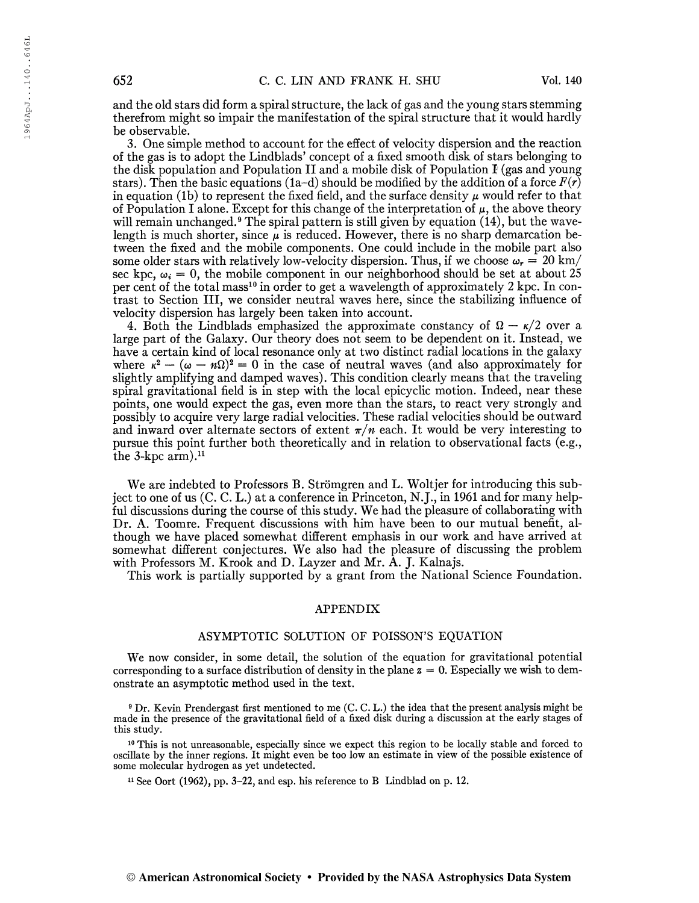and the old stars did form a spiralstructure, the lack of gas and the young stars stemming therefrom might so impair the manifestation of the spiral structure that it would hardly be observable.

3. One simple method to account for the effect of velocity dispersion and the reaction of the gas is to adopt the Lindblads' concept of a fixed smooth disk of stars belonging to the disk population and Population II and a mobile disk of Population  $I$  (gas and young stars). Then the basic equations (1a-d) should be modified by the addition of a force  $F(r)$ in equation (1b) to represent the fixed field, and the surface density  $\mu$  would refer to that of Population I alone. Except for this change of the interpretation of  $\mu$ , the above theory will remain unchanged.<sup>9</sup> The spiral pattern is still given by equation (14), but the wavelength is much shorter, since  $\mu$  is reduced. However, there is no sharp demarcation between the fixed and the mobile components. One could include in the mobile part also some older stars with relatively low-velocity dispersion. Thus, if we choose  $\omega_r = 20 \text{ km/s}$ sec kpc,  $\omega_i = 0$ , the mobile component in our neighborhood should be set at about 25 per cent of the total mass<sup>10</sup> in order to get a wavelength of approximately 2 kpc. In contrast to Section III, we consider neutral waves here, since the stabilizing influence of velocity dispersion has largely been taken into account.

4. Both the Lindblads emphasized the approximate constancy of  $\Omega - \kappa/2$  over a large part of the Galaxy. Our theory does not seem to be dependent on it. Instead, we have a certain kind of local resonance only at two distinct radial locations in the galaxy where  $\kappa^2 - (\omega - n\Omega)^2 = 0$  in the case of neutral waves (and also approximately for slightly amplifying and damped waves). This condition clearly means that the traveling spiral gravitational field is in step with the local epicyclic motion. Indeed, near these points, one would expect the gas, even more than the stars, to react very strongly and possibly to acquire very large radial velocities. These radial velocities should be outward and inward over alternate sectors of extent  $\pi/n$  each. It would be very interesting to pursue this point further both theoretically and in relation to observational facts (e.g., the  $3$ -kpc arm).<sup>11</sup>

We are indebted to Professors B. Strömgren and L. Woltjer for introducing this subject to one of us (C. C. L.) at a conference in Princeton, N.J., in 1961 and for many helpful discussions during the course of this study. We had the pleasure of collaborating with Dr. A. Toomre. Frequent discussions with him have been to our mutual benefit, although we have placed somewhat different emphasis in our work and have arrived at somewhat different conjectures. We also had the pleasure of discussing the problem with Professors M. Krook and D. Layzer and Mr. A. J. Kalnajs.

This work is partially supported by a grant from the National Science Foundation.

## APPENDIX

#### ASYMPTOTIC SOLUTION OF POISSON'S EQUATION

We now consider, in some detail, the solution of the equation for gravitational potential corresponding to a surface distribution of density in the plane  $z = 0$ . Especially we wish to demonstrate an asymptotic method used in the text.

<sup>9</sup> Dr. Kevin Prendergast first mentioned to me (C. C. L.) the idea that the present analysis might be made in the presence of the gravitational field of a fixed disk during a discussion at the early stages of this study.

<sup>10</sup> This is not unreasonable, especially since we expect this region to be locally stable and forced to oscillate by the inner regions. It might even be too low an estimate in view of the possible existence of some molecular hydrogen as yet undetected.

<sup>11</sup> See Oort (1962), pp. 3-22, and esp. his reference to B Lindblad on p. 12.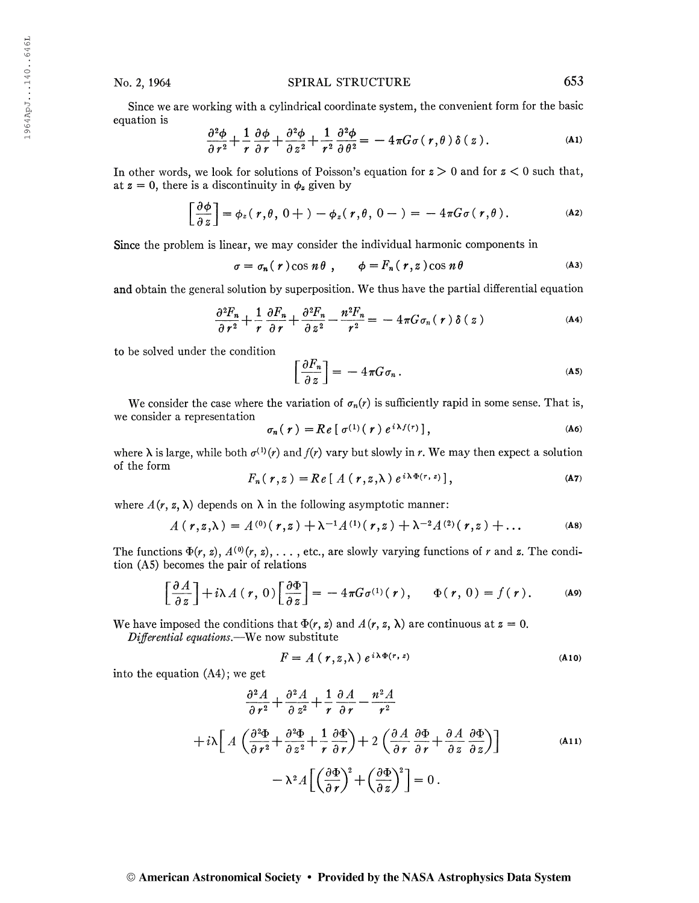Since we are working with a cylindrical coordinate system, the convenient form for the basic equation is

$$
\frac{\partial^2 \phi}{\partial r^2} + \frac{1}{r} \frac{\partial \phi}{\partial r} + \frac{\partial^2 \phi}{\partial z^2} + \frac{1}{r^2} \frac{\partial^2 \phi}{\partial \theta^2} = -4\pi G \sigma(r, \theta) \delta(z).
$$
 (A1)

In other words, we look for solutions of Poisson's equation for  $z > 0$  and for  $z < 0$  such that, at  $z = 0$ , there is a discontinuity in  $\phi_z$  given by

$$
\left[\frac{\partial \phi}{\partial z}\right] = \phi_z(r,\theta, 0+) - \phi_z(r,\theta, 0-) = -4\pi G\sigma(r,\theta).
$$
 (A2)

Since the problem is linear, we may consider the individual harmonic components in

 $\sigma = \sigma_n(r) \cos n\theta$ ,  $\phi = F_n(r, z) \cos n\theta$  (A3)

and obtain the general solution by superposition. We thus have the partial differential equation

$$
\frac{\partial^2 F_n}{\partial r^2} + \frac{1}{r} \frac{\partial F_n}{\partial r} + \frac{\partial^2 F_n}{\partial z^2} - \frac{n^2 F_n}{r^2} = -4\pi G \sigma_n(r) \delta(z)
$$
 (A4)

to be solved under the condition

$$
\left[\frac{\partial F_n}{\partial z}\right] = -4\pi G \sigma_n \,. \tag{A5}
$$

We consider the case where the variation of  $\sigma_n(r)$  is sufficiently rapid in some sense. That is, we consider a representation  $i\lambda f$ 

$$
\sigma_n(\boldsymbol{r}) = Re [\sigma^{(1)}(\boldsymbol{r}) e^{i\lambda f(\boldsymbol{r})}], \qquad (A6)
$$

where  $\lambda$  is large, while both  $\sigma^{(1)}(r)$  and  $f(r)$  vary but slowly in r. We may then expect a solution of the form

$$
F_n(r,z) = Re [ A (r,z,\lambda) e^{i\lambda \Phi(r,z)}],
$$
 (A7)

where  $A(r, z, \lambda)$  depends on  $\lambda$  in the following asymptotic manner:

$$
A(r,z,\lambda) = A^{(0)}(r,z) + \lambda^{-1}A^{(1)}(r,z) + \lambda^{-2}A^{(2)}(r,z) + \dots
$$
 (A8)

The functions  $\Phi(r, z)$ ,  $A^{(0)}(r, z)$ , ..., etc., are slowly varying functions of r and z. The condition (A5) becomes the pair of relations

$$
\left[\frac{\partial A}{\partial z}\right] + i\lambda A(r, 0)\left[\frac{\partial \Phi}{\partial z}\right] = -4\pi G \sigma^{(1)}(r), \quad \Phi(r, 0) = f(r). \quad \text{(A9)}
$$

We have imposed the conditions that  $\Phi(r, z)$  and  $A(r, z, \lambda)$  are continuous at  $z = 0$ . Differential equations.—We now substitute

$$
F = A(r, z, \lambda) e^{i\lambda \Phi(r, z)}
$$
 (A10)

into the equation (A4) ; we get

$$
\frac{\partial^2 A}{\partial r^2} + \frac{\partial^2 A}{\partial z^2} + \frac{1}{r} \frac{\partial A}{\partial r} - \frac{n^2 A}{r^2}
$$
  
+  $i\lambda \left[ A \left( \frac{\partial^2 \Phi}{\partial r^2} + \frac{\partial^2 \Phi}{\partial z^2} + \frac{1}{r} \frac{\partial \Phi}{\partial r} \right) + 2 \left( \frac{\partial A}{\partial r} \frac{\partial \Phi}{\partial r} + \frac{\partial A}{\partial z} \frac{\partial \Phi}{\partial z} \right) \right]$   
-  $\lambda^2 A \left[ \left( \frac{\partial \Phi}{\partial r} \right)^2 + \left( \frac{\partial \Phi}{\partial z} \right)^2 \right] = 0.$  (A11)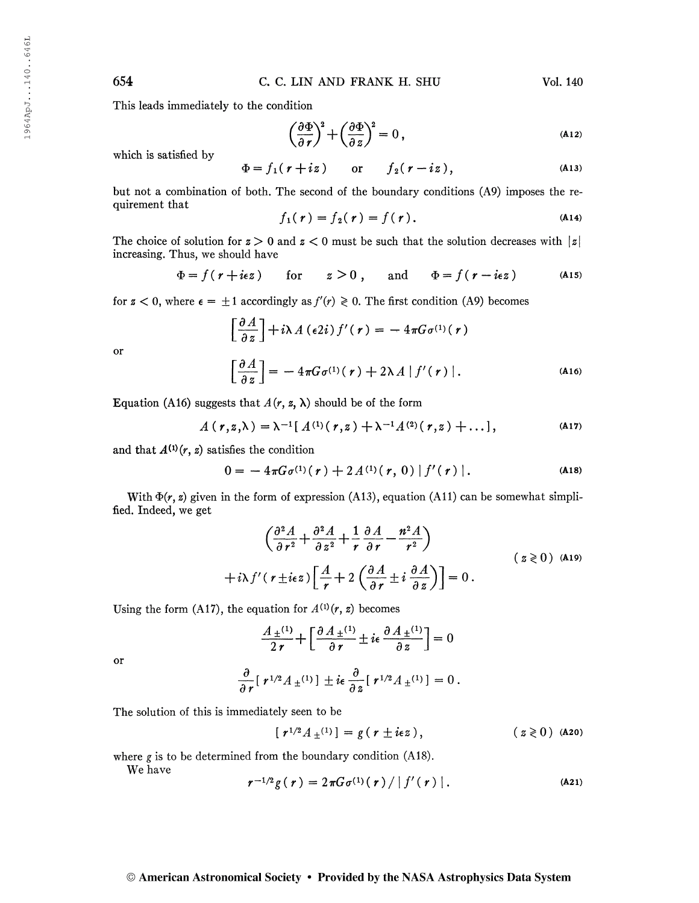654 C. C. LIN AND FRANK H. SHU Vol. 140

This leads immediately to the condition

$$
\left(\frac{\partial \Phi}{\partial r}\right)^2 + \left(\frac{\partial \Phi}{\partial z}\right)^2 = 0, \tag{A12}
$$

which is satisfied by

$$
\Phi = f_1(r + iz) \qquad \text{or} \qquad f_2(r - iz), \tag{A13}
$$

but not a combination of both. The second of the boundary conditions (A9) imposes the requirement that

$$
f_1(r) = f_2(r) = f(r)
$$
. (A14)

The choice of solution for  $z > 0$  and  $z < 0$  must be such that the solution decreases with  $|z|$ increasing. Thus, we should have

$$
\Phi = f(r + i\epsilon z)
$$
 for  $z > 0$ , and  $\Phi = f(r - i\epsilon z)$  (A15)

for  $z < 0$ , where  $\epsilon = \pm 1$  accordingly as  $f'(r) \ge 0$ . The first condition (A9) becomes

$$
\left[\frac{\partial A}{\partial z}\right] + i\lambda A \left(\epsilon 2i\right) f'(\mathbf{r}) = -4\pi G \sigma^{(1)}(\mathbf{r})
$$
\n
$$
\left[\frac{\partial A}{\partial z}\right] = -4\pi G \sigma^{(1)}(\mathbf{r}) + 2\lambda A \left|f'(\mathbf{r})\right|.
$$
\n(A16)

or

Equation (A16) suggests that  $A(r, z, \lambda)$  should be of the form

$$
A(r, z, \lambda) = \lambda^{-1} [ A^{(1)}(r, z) + \lambda^{-1} A^{(2)}(r, z) + \dots ],
$$
 (A17)

and that  $A^{(1)}(r, z)$  satisfies the condition

$$
0 = -4\pi G \sigma^{(1)}(\mathbf{r}) + 2 A^{(1)}(\mathbf{r}, 0) |f'(\mathbf{r})|.
$$
 (A18)

With  $\Phi(r, z)$  given in the form of expression (A13), equation (A11) can be somewhat simplified. Indeed, we get

$$
\left(\frac{\partial^2 A}{\partial r^2} + \frac{\partial^2 A}{\partial z^2} + \frac{1}{r} \frac{\partial A}{\partial r} - \frac{n^2 A}{r^2}\right)
$$
\n
$$
+ i\lambda f' (r \pm i\epsilon z) \left[\frac{A}{r} + 2 \left(\frac{\partial A}{\partial r} \pm i \frac{\partial A}{\partial z}\right)\right] = 0.
$$
\n(2 $\geq 0$ ) (A19)

Using the form (A17), the equation for  $A^{(1)}(r, z)$  becomes

$$
\frac{A_{\pm}^{(1)}}{2\,r} + \left[\frac{\partial A_{\pm}^{(1)}}{\partial r} \pm i\epsilon \frac{\partial A_{\pm}^{(1)}}{\partial z}\right] = 0
$$

or

$$
\frac{\partial}{\partial r} [\; r^{1/2} A \pm {}^{(1)}] \; \pm i \epsilon \; \frac{\partial}{\partial z} [\; r^{1/2} A \pm {}^{(1)}] = 0 \; .
$$

The solution of this is immediately seen to be

$$
[r^{1/2} A_{\pm}^{(1)}] = g (r \pm i\epsilon z), \qquad (z \geq 0) \text{ (A20)}
$$

where g is to be determined from the boundary condition (A18).<br>
We have  $r^{-1/2}g(r) = 2\pi G\sigma^{(1)}(r)/|f'(r)|$ .

We have

$$
r^{-1/2}g(r) = 2\pi G\sigma^{(1)}(r)/|f'(r)|.
$$
 (A21)

## © American Astronomical Society • Provided by the NASA Astrophysics Data System